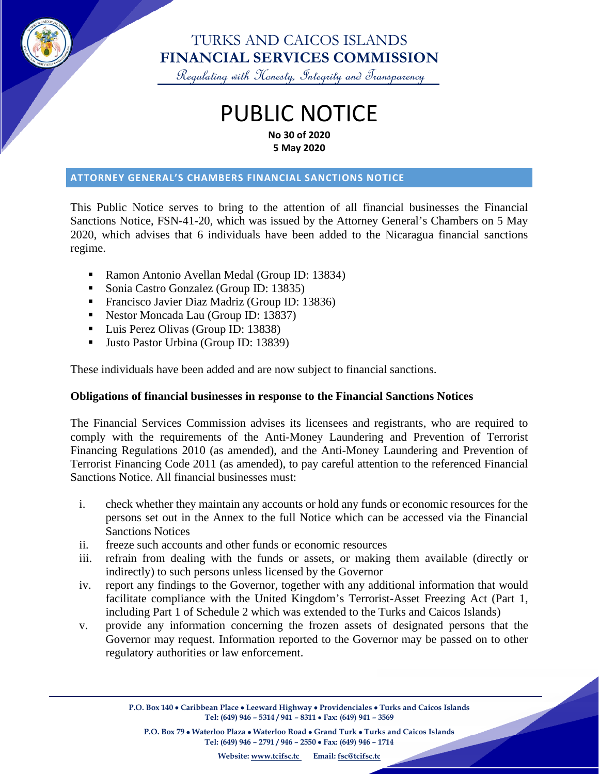

### TURKS AND CAICOS ISLANDS **FINANCIAL SERVICES COMMISSION**

Regulating with Honesty, Integrity and Transparency

# PUBLIC NOTICE **No 30 of 2020 5 May 2020**

#### **ATTORNEY GENERAL'S CHAMBERS FINANCIAL SANCTIONS NOTICE**

This Public Notice serves to bring to the attention of all financial businesses the Financial Sanctions Notice, FSN-41-20, which was issued by the Attorney General's Chambers on 5 May 2020, which advises that 6 individuals have been added to the Nicaragua financial sanctions regime.

- Ramon Antonio Avellan Medal (Group ID: 13834)
- Sonia Castro Gonzalez (Group ID: 13835)
- **Francisco Javier Diaz Madriz (Group ID: 13836)**
- Nestor Moncada Lau (Group ID: 13837)
- Luis Perez Olivas (Group ID: 13838)
- Ulsto Pastor Urbina (Group ID: 13839)

These individuals have been added and are now subject to financial sanctions.

#### **Obligations of financial businesses in response to the Financial Sanctions Notices**

The Financial Services Commission advises its licensees and registrants, who are required to comply with the requirements of the Anti-Money Laundering and Prevention of Terrorist Financing Regulations 2010 (as amended), and the Anti-Money Laundering and Prevention of Terrorist Financing Code 2011 (as amended), to pay careful attention to the referenced Financial Sanctions Notice. All financial businesses must:

- i. check whether they maintain any accounts or hold any funds or economic resources for the persons set out in the Annex to the full Notice which can be accessed via the Financial Sanctions Notices
- ii. freeze such accounts and other funds or economic resources
- iii. refrain from dealing with the funds or assets, or making them available (directly or indirectly) to such persons unless licensed by the Governor
- iv. report any findings to the Governor, together with any additional information that would facilitate compliance with the United Kingdom's Terrorist-Asset Freezing Act (Part 1, including Part 1 of Schedule 2 which was extended to the Turks and Caicos Islands)
- v. provide any information concerning the frozen assets of designated persons that the Governor may request. Information reported to the Governor may be passed on to other regulatory authorities or law enforcement.

**P.O. Box 140** • **Caribbean Place** • **Leeward Highway** • **Providenciales** • **Turks and Caicos Islands Tel: (649) 946 – 5314 / 941 – 8311** • **Fax: (649) 941 – 3569**

**P.O. Box 79** • **Waterloo Plaza** • **Waterloo Road** • **Grand Turk** • **Turks and Caicos Islands Tel: (649) 946 – 2791 / 946 – 2550** • **Fax: (649) 946 – 1714**

**Website: [www.tcifsc.tc](http://www.tcifsc.tc/) Email[: fsc@tcifsc.tc](mailto:fsc@tcifsc.tc)**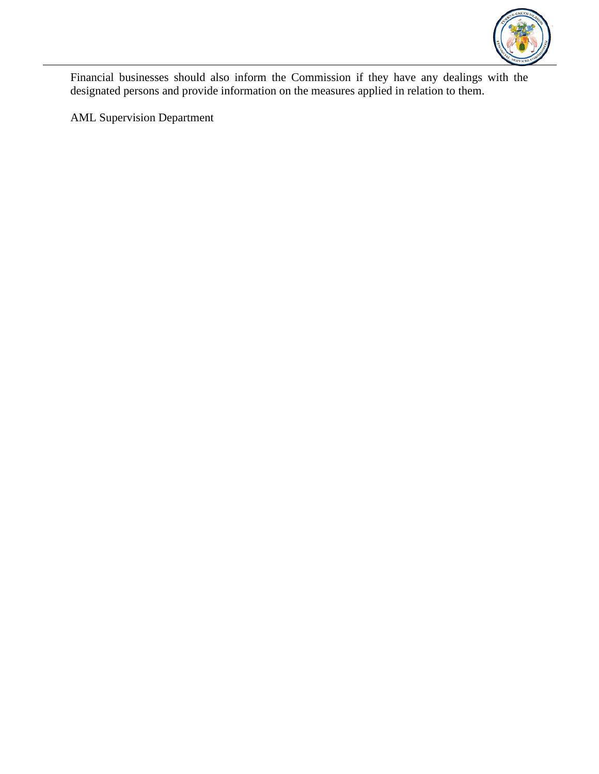

Financial businesses should also inform the Commission if they have any dealings with the designated persons and provide information on the measures applied in relation to them.

AML Supervision Department